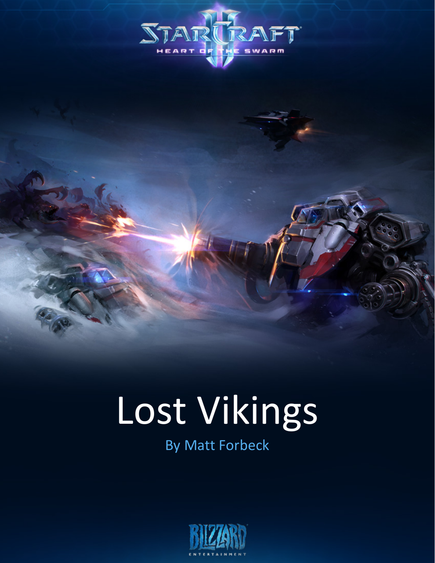

## Lost Vikings

## By Matt Forbeck

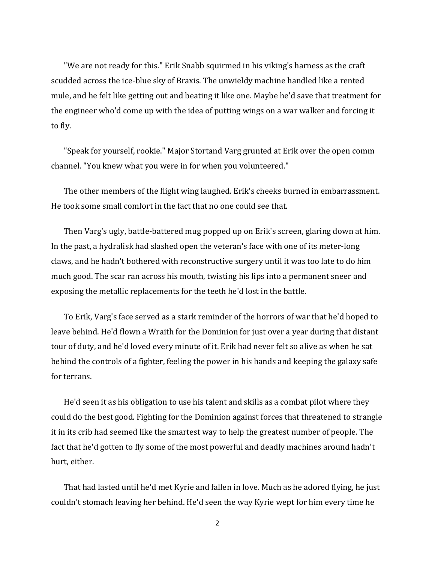"We are not ready for this." Erik Snabb squirmed in his viking's harness as the craft scudded across the ice-blue sky of Braxis. The unwieldy machine handled like a rented mule, and he felt like getting out and beating it like one. Maybe he'd save that treatment for the engineer who'd come up with the idea of putting wings on a war walker and forcing it to fly.

"Speak for yourself, rookie." Major Stortand Varg grunted at Erik over the open comm channel. "You knew what you were in for when you volunteered."

The other members of the flight wing laughed. Erik's cheeks burned in embarrassment. He took some small comfort in the fact that no one could see that.

Then Varg's ugly, battle-battered mug popped up on Erik's screen, glaring down at him. In the past, a hydralisk had slashed open the veteran's face with one of its meter-long claws, and he hadn't bothered with reconstructive surgery until it was too late to do him much good. The scar ran across his mouth, twisting his lips into a permanent sneer and exposing the metallic replacements for the teeth he'd lost in the battle.

To Erik, Varg's face served as a stark reminder of the horrors of war that he'd hoped to leave behind. He'd flown a Wraith for the Dominion for just over a year during that distant tour of duty, and he'd loved every minute of it. Erik had never felt so alive as when he sat behind the controls of a fighter, feeling the power in his hands and keeping the galaxy safe for terrans.

He'd seen it as his obligation to use his talent and skills as a combat pilot where they could do the best good. Fighting for the Dominion against forces that threatened to strangle it in its crib had seemed like the smartest way to help the greatest number of people. The fact that he'd gotten to fly some of the most powerful and deadly machines around hadn't hurt, either.

That had lasted until he'd met Kyrie and fallen in love. Much as he adored flying, he just couldn't stomach leaving her behind. He'd seen the way Kyrie wept for him every time he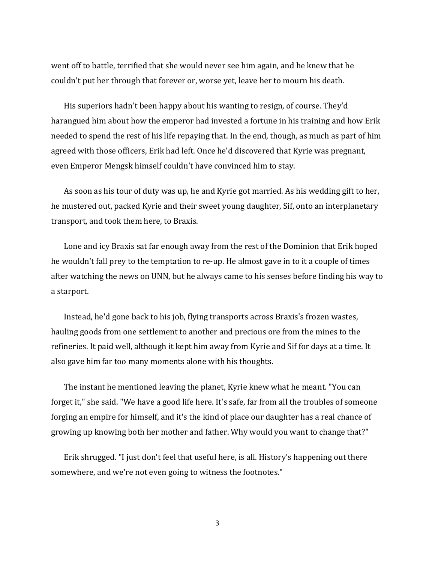went off to battle, terrified that she would never see him again, and he knew that he couldn't put her through that forever or, worse yet, leave her to mourn his death.

His superiors hadn't been happy about his wanting to resign, of course. They'd harangued him about how the emperor had invested a fortune in his training and how Erik needed to spend the rest of his life repaying that. In the end, though, as much as part of him agreed with those officers, Erik had left. Once he'd discovered that Kyrie was pregnant, even Emperor Mengsk himself couldn't have convinced him to stay.

As soon as his tour of duty was up, he and Kyrie got married. As his wedding gift to her, he mustered out, packed Kyrie and their sweet young daughter, Sif, onto an interplanetary transport, and took them here, to Braxis.

Lone and icy Braxis sat far enough away from the rest of the Dominion that Erik hoped he wouldn't fall prey to the temptation to re-up. He almost gave in to it a couple of times after watching the news on UNN, but he always came to his senses before finding his way to a starport.

Instead, he'd gone back to his job, flying transports across Braxis's frozen wastes, hauling goods from one settlement to another and precious ore from the mines to the refineries. It paid well, although it kept him away from Kyrie and Sif for days at a time. It also gave him far too many moments alone with his thoughts.

The instant he mentioned leaving the planet, Kyrie knew what he meant. "You can forget it," she said. "We have a good life here. It's safe, far from all the troubles of someone forging an empire for himself, and it's the kind of place our daughter has a real chance of growing up knowing both her mother and father. Why would you want to change that?"

Erik shrugged. "I just don't feel that useful here, is all. History's happening out there somewhere, and we're not even going to witness the footnotes."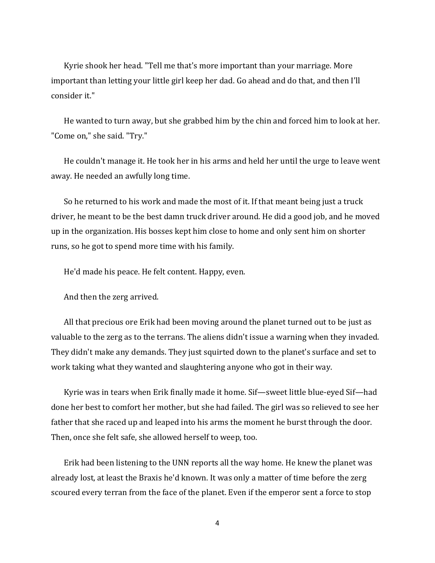Kyrie shook her head. "Tell me that's more important than your marriage. More important than letting your little girl keep her dad. Go ahead and do that, and then I'll consider it."

He wanted to turn away, but she grabbed him by the chin and forced him to look at her. "Come on," she said. "Try."

He couldn't manage it. He took her in his arms and held her until the urge to leave went away. He needed an awfully long time.

So he returned to his work and made the most of it. If that meant being just a truck driver, he meant to be the best damn truck driver around. He did a good job, and he moved up in the organization. His bosses kept him close to home and only sent him on shorter runs, so he got to spend more time with his family.

He'd made his peace. He felt content. Happy, even.

And then the zerg arrived.

All that precious ore Erik had been moving around the planet turned out to be just as valuable to the zerg as to the terrans. The aliens didn't issue a warning when they invaded. They didn't make any demands. They just squirted down to the planet's surface and set to work taking what they wanted and slaughtering anyone who got in their way.

Kyrie was in tears when Erik finally made it home. Sif—sweet little blue-eyed Sif—had done her best to comfort her mother, but she had failed. The girl was so relieved to see her father that she raced up and leaped into his arms the moment he burst through the door. Then, once she felt safe, she allowed herself to weep, too.

Erik had been listening to the UNN reports all the way home. He knew the planet was already lost, at least the Braxis he'd known. It was only a matter of time before the zerg scoured every terran from the face of the planet. Even if the emperor sent a force to stop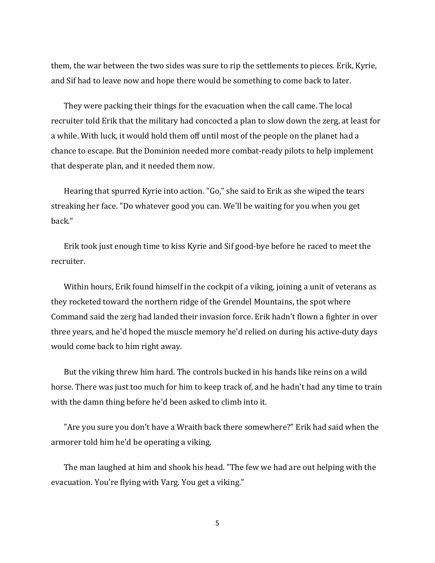them, the war between the two sides was sure to rip the settlements to pieces. Erik, Kyrie, and Sif had to leave now and hope there would be something to come back to later.

They were packing their things for the evacuation when the call came. The local recruiter told Erik that the military had concocted a plan to slow down the zerg, at least for a while. With luck, it would hold them off until most of the people on the planet had a chance to escape. But the Dominion needed more combat-ready pilots to help implement that desperate plan, and it needed them now.

Hearing that spurred Kyrie into action. "Go," she said to Erik as she wiped the tears streaking her face. "Do whatever good you can. We'll be waiting for you when you get back."

Erik took just enough time to kiss Kyrie and Sif good-bye before he raced to meet the recruiter.

Within hours, Erik found himself in the cockpit of a viking, joining a unit of veterans as they rocketed toward the northern ridge of the Grendel Mountains, the spot where Command said the zerg had landed their invasion force. Erik hadn't flown a fighter in over three years, and he'd hoped the muscle memory he'd relied on during his active-duty days would come back to him right away.

But the viking threw him hard. The controls bucked in his hands like reins on a wild horse. There was just too much for him to keep track of, and he hadn't had any time to train with the damn thing before he'd been asked to climb into it.

"Are you sure you don't have a Wraith back there somewhere?" Erik had said when the armorer told him he'd be operating a viking.

The man laughed at him and shook his head. "The few we had are out helping with the evacuation. You're flying with Varg. You get a viking."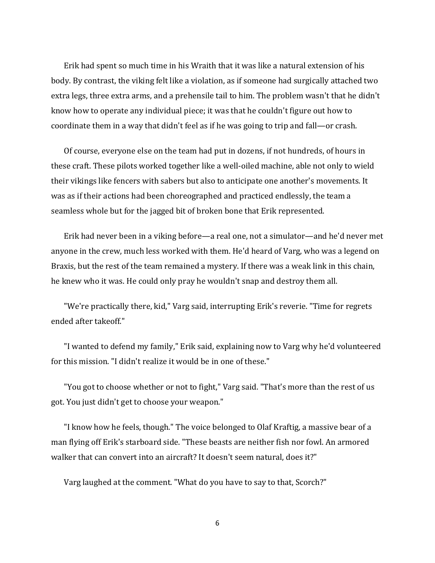Erik had spent so much time in his Wraith that it was like a natural extension of his body. By contrast, the viking felt like a violation, as if someone had surgically attached two extra legs, three extra arms, and a prehensile tail to him. The problem wasn't that he didn't know how to operate any individual piece; it was that he couldn't figure out how to coordinate them in a way that didn't feel as if he was going to trip and fall—or crash.

Of course, everyone else on the team had put in dozens, if not hundreds, of hours in these craft. These pilots worked together like a well-oiled machine, able not only to wield their vikings like fencers with sabers but also to anticipate one another's movements. It was as if their actions had been choreographed and practiced endlessly, the team a seamless whole but for the jagged bit of broken bone that Erik represented.

Erik had never been in a viking before—a real one, not a simulator—and he'd never met anyone in the crew, much less worked with them. He'd heard of Varg, who was a legend on Braxis, but the rest of the team remained a mystery. If there was a weak link in this chain, he knew who it was. He could only pray he wouldn't snap and destroy them all.

"We're practically there, kid," Varg said, interrupting Erik's reverie. "Time for regrets ended after takeoff."

"I wanted to defend my family," Erik said, explaining now to Varg why he'd volunteered for this mission. "I didn't realize it would be in one of these."

"You got to choose whether or not to fight," Varg said. "That's more than the rest of us got. You just didn't get to choose your weapon."

"I know how he feels, though." The voice belonged to Olaf Kraftig, a massive bear of a man flying off Erik's starboard side. "These beasts are neither fish nor fowl. An armored walker that can convert into an aircraft? It doesn't seem natural, does it?"

Varg laughed at the comment. "What do you have to say to that, Scorch?"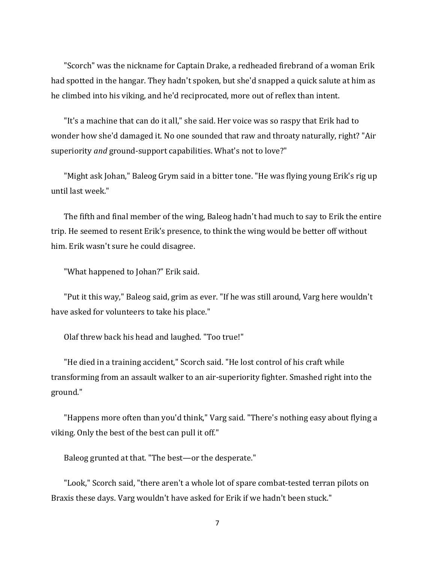"Scorch" was the nickname for Captain Drake, a redheaded firebrand of a woman Erik had spotted in the hangar. They hadn't spoken, but she'd snapped a quick salute at him as he climbed into his viking, and he'd reciprocated, more out of reflex than intent.

"It's a machine that can do it all," she said. Her voice was so raspy that Erik had to wonder how she'd damaged it. No one sounded that raw and throaty naturally, right? "Air superiority *and* ground-support capabilities. What's not to love?"

"Might ask Johan," Baleog Grym said in a bitter tone. "He was flying young Erik's rig up until last week."

The fifth and final member of the wing, Baleog hadn't had much to say to Erik the entire trip. He seemed to resent Erik's presence, to think the wing would be better off without him. Erik wasn't sure he could disagree.

"What happened to Johan?" Erik said.

"Put it this way," Baleog said, grim as ever. "If he was still around, Varg here wouldn't have asked for volunteers to take his place."

Olaf threw back his head and laughed. "Too true!"

"He died in a training accident," Scorch said. "He lost control of his craft while transforming from an assault walker to an air-superiority fighter. Smashed right into the ground."

"Happens more often than you'd think," Varg said. "There's nothing easy about flying a viking. Only the best of the best can pull it off."

Baleog grunted at that. "The best—or the desperate."

"Look," Scorch said, "there aren't a whole lot of spare combat-tested terran pilots on Braxis these days. Varg wouldn't have asked for Erik if we hadn't been stuck."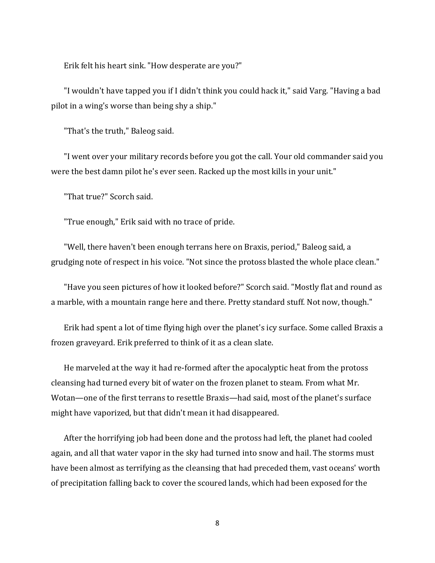Erik felt his heart sink. "How desperate are you?"

"I wouldn't have tapped you if I didn't think you could hack it," said Varg. "Having a bad pilot in a wing's worse than being shy a ship."

"That's the truth," Baleog said.

"I went over your military records before you got the call. Your old commander said you were the best damn pilot he's ever seen. Racked up the most kills in your unit."

"That true?" Scorch said.

"True enough," Erik said with no trace of pride.

"Well, there haven't been enough terrans here on Braxis, period," Baleog said, a grudging note of respect in his voice. "Not since the protoss blasted the whole place clean."

"Have you seen pictures of how it looked before?" Scorch said. "Mostly flat and round as a marble, with a mountain range here and there. Pretty standard stuff. Not now, though."

Erik had spent a lot of time flying high over the planet's icy surface. Some called Braxis a frozen graveyard. Erik preferred to think of it as a clean slate.

He marveled at the way it had re-formed after the apocalyptic heat from the protoss cleansing had turned every bit of water on the frozen planet to steam. From what Mr. Wotan—one of the first terrans to resettle Braxis—had said, most of the planet's surface might have vaporized, but that didn't mean it had disappeared.

After the horrifying job had been done and the protoss had left, the planet had cooled again, and all that water vapor in the sky had turned into snow and hail. The storms must have been almost as terrifying as the cleansing that had preceded them, vast oceans' worth of precipitation falling back to cover the scoured lands, which had been exposed for the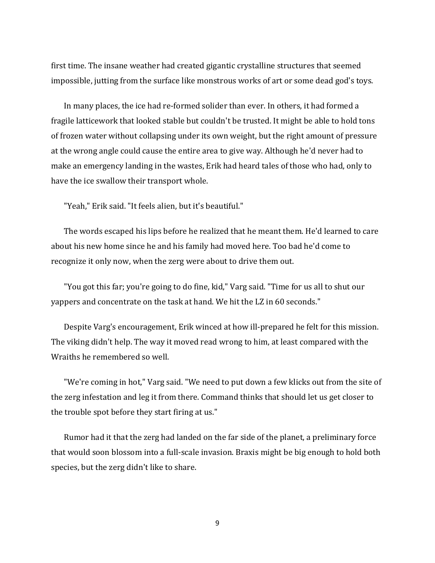first time. The insane weather had created gigantic crystalline structures that seemed impossible, jutting from the surface like monstrous works of art or some dead god's toys.

In many places, the ice had re-formed solider than ever. In others, it had formed a fragile latticework that looked stable but couldn't be trusted. It might be able to hold tons of frozen water without collapsing under its own weight, but the right amount of pressure at the wrong angle could cause the entire area to give way. Although he'd never had to make an emergency landing in the wastes, Erik had heard tales of those who had, only to have the ice swallow their transport whole.

"Yeah," Erik said. "It feels alien, but it's beautiful."

The words escaped his lips before he realized that he meant them. He'd learned to care about his new home since he and his family had moved here. Too bad he'd come to recognize it only now, when the zerg were about to drive them out.

"You got this far; you're going to do fine, kid," Varg said. "Time for us all to shut our yappers and concentrate on the task at hand. We hit the LZ in 60 seconds."

Despite Varg's encouragement, Erik winced at how ill-prepared he felt for this mission. The viking didn't help. The way it moved read wrong to him, at least compared with the Wraiths he remembered so well.

"We're coming in hot," Varg said. "We need to put down a few klicks out from the site of the zerg infestation and leg it from there. Command thinks that should let us get closer to the trouble spot before they start firing at us."

Rumor had it that the zerg had landed on the far side of the planet, a preliminary force that would soon blossom into a full-scale invasion. Braxis might be big enough to hold both species, but the zerg didn't like to share.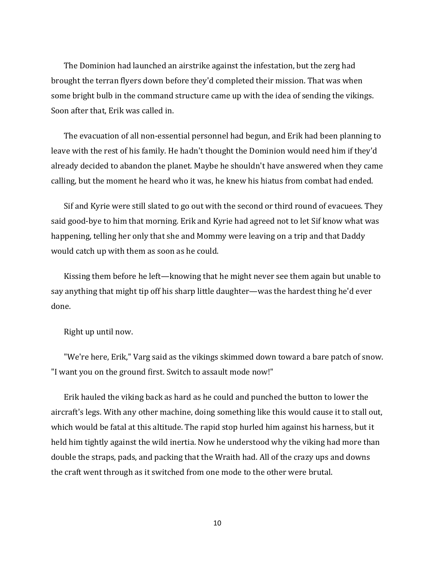The Dominion had launched an airstrike against the infestation, but the zerg had brought the terran flyers down before they'd completed their mission. That was when some bright bulb in the command structure came up with the idea of sending the vikings. Soon after that, Erik was called in.

The evacuation of all non-essential personnel had begun, and Erik had been planning to leave with the rest of his family. He hadn't thought the Dominion would need him if they'd already decided to abandon the planet. Maybe he shouldn't have answered when they came calling, but the moment he heard who it was, he knew his hiatus from combat had ended.

Sif and Kyrie were still slated to go out with the second or third round of evacuees. They said good-bye to him that morning. Erik and Kyrie had agreed not to let Sif know what was happening, telling her only that she and Mommy were leaving on a trip and that Daddy would catch up with them as soon as he could.

Kissing them before he left—knowing that he might never see them again but unable to say anything that might tip off his sharp little daughter—was the hardest thing he'd ever done.

Right up until now.

"We're here, Erik," Varg said as the vikings skimmed down toward a bare patch of snow. "I want you on the ground first. Switch to assault mode now!"

Erik hauled the viking back as hard as he could and punched the button to lower the aircraft's legs. With any other machine, doing something like this would cause it to stall out, which would be fatal at this altitude. The rapid stop hurled him against his harness, but it held him tightly against the wild inertia. Now he understood why the viking had more than double the straps, pads, and packing that the Wraith had. All of the crazy ups and downs the craft went through as it switched from one mode to the other were brutal.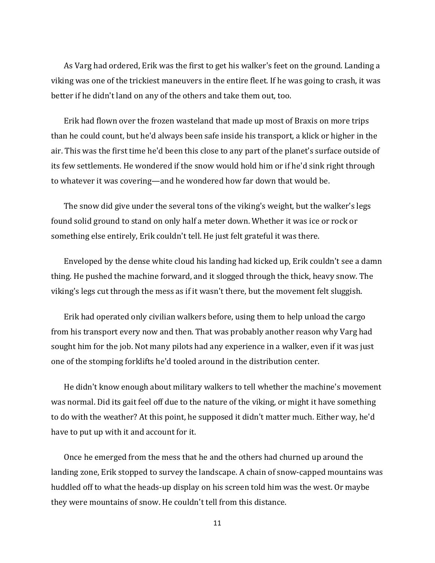As Varg had ordered, Erik was the first to get his walker's feet on the ground. Landing a viking was one of the trickiest maneuvers in the entire fleet. If he was going to crash, it was better if he didn't land on any of the others and take them out, too.

Erik had flown over the frozen wasteland that made up most of Braxis on more trips than he could count, but he'd always been safe inside his transport, a klick or higher in the air. This was the first time he'd been this close to any part of the planet's surface outside of its few settlements. He wondered if the snow would hold him or if he'd sink right through to whatever it was covering—and he wondered how far down that would be.

The snow did give under the several tons of the viking's weight, but the walker's legs found solid ground to stand on only half a meter down. Whether it was ice or rock or something else entirely, Erik couldn't tell. He just felt grateful it was there.

Enveloped by the dense white cloud his landing had kicked up, Erik couldn't see a damn thing. He pushed the machine forward, and it slogged through the thick, heavy snow. The viking's legs cut through the mess as if it wasn't there, but the movement felt sluggish.

Erik had operated only civilian walkers before, using them to help unload the cargo from his transport every now and then. That was probably another reason why Varg had sought him for the job. Not many pilots had any experience in a walker, even if it was just one of the stomping forklifts he'd tooled around in the distribution center.

He didn't know enough about military walkers to tell whether the machine's movement was normal. Did its gait feel off due to the nature of the viking, or might it have something to do with the weather? At this point, he supposed it didn't matter much. Either way, he'd have to put up with it and account for it.

Once he emerged from the mess that he and the others had churned up around the landing zone, Erik stopped to survey the landscape. A chain of snow-capped mountains was huddled off to what the heads-up display on his screen told him was the west. Or maybe they were mountains of snow. He couldn't tell from this distance.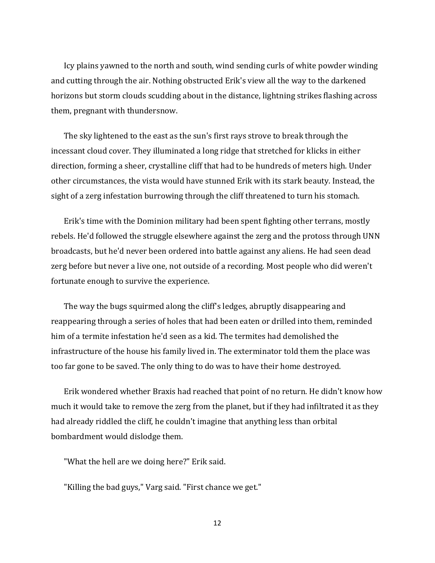Icy plains yawned to the north and south, wind sending curls of white powder winding and cutting through the air. Nothing obstructed Erik's view all the way to the darkened horizons but storm clouds scudding about in the distance, lightning strikes flashing across them, pregnant with thundersnow.

The sky lightened to the east as the sun's first rays strove to break through the incessant cloud cover. They illuminated a long ridge that stretched for klicks in either direction, forming a sheer, crystalline cliff that had to be hundreds of meters high. Under other circumstances, the vista would have stunned Erik with its stark beauty. Instead, the sight of a zerg infestation burrowing through the cliff threatened to turn his stomach.

Erik's time with the Dominion military had been spent fighting other terrans, mostly rebels. He'd followed the struggle elsewhere against the zerg and the protoss through UNN broadcasts, but he'd never been ordered into battle against any aliens. He had seen dead zerg before but never a live one, not outside of a recording. Most people who did weren't fortunate enough to survive the experience.

The way the bugs squirmed along the cliff's ledges, abruptly disappearing and reappearing through a series of holes that had been eaten or drilled into them, reminded him of a termite infestation he'd seen as a kid. The termites had demolished the infrastructure of the house his family lived in. The exterminator told them the place was too far gone to be saved. The only thing to do was to have their home destroyed.

Erik wondered whether Braxis had reached that point of no return. He didn't know how much it would take to remove the zerg from the planet, but if they had infiltrated it as they had already riddled the cliff, he couldn't imagine that anything less than orbital bombardment would dislodge them.

"What the hell are we doing here?" Erik said.

"Killing the bad guys," Varg said. "First chance we get."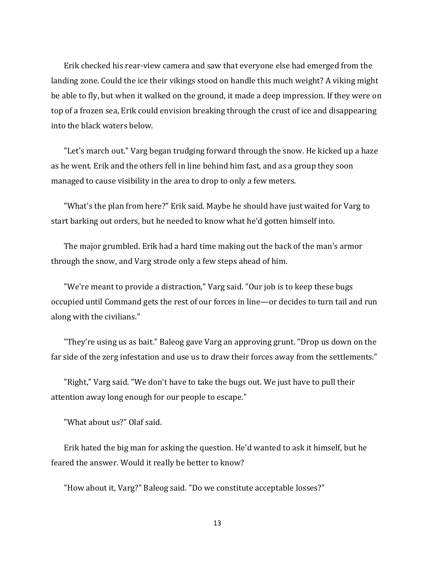Erik checked his rear-view camera and saw that everyone else had emerged from the landing zone. Could the ice their vikings stood on handle this much weight? A viking might be able to fly, but when it walked on the ground, it made a deep impression. If they were on top of a frozen sea, Erik could envision breaking through the crust of ice and disappearing into the black waters below.

"Let's march out." Varg began trudging forward through the snow. He kicked up a haze as he went. Erik and the others fell in line behind him fast, and as a group they soon managed to cause visibility in the area to drop to only a few meters.

"What's the plan from here?" Erik said. Maybe he should have just waited for Varg to start barking out orders, but he needed to know what he'd gotten himself into.

The major grumbled. Erik had a hard time making out the back of the man's armor through the snow, and Varg strode only a few steps ahead of him.

"We're meant to provide a distraction," Varg said. "Our job is to keep these bugs occupied until Command gets the rest of our forces in line—or decides to turn tail and run along with the civilians."

"They're using us as bait." Baleog gave Varg an approving grunt. "Drop us down on the far side of the zerg infestation and use us to draw their forces away from the settlements."

"Right," Varg said. "We don't have to take the bugs out. We just have to pull their attention away long enough for our people to escape."

"What about us?" Olaf said.

Erik hated the big man for asking the question. He'd wanted to ask it himself, but he feared the answer. Would it really be better to know?

"How about it, Varg?" Baleog said. "Do we constitute acceptable losses?"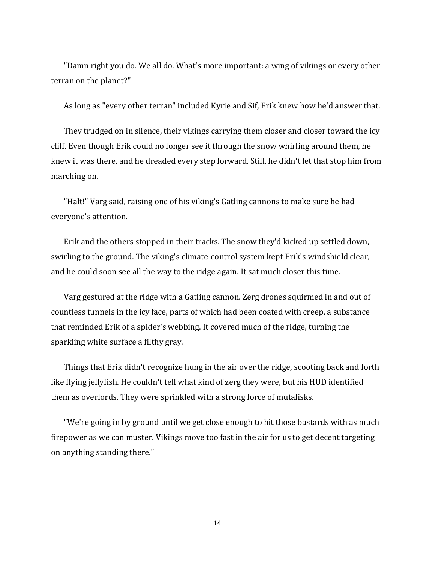"Damn right you do. We all do. What's more important: a wing of vikings or every other terran on the planet?"

As long as "every other terran" included Kyrie and Sif, Erik knew how he'd answer that.

They trudged on in silence, their vikings carrying them closer and closer toward the icy cliff. Even though Erik could no longer see it through the snow whirling around them, he knew it was there, and he dreaded every step forward. Still, he didn't let that stop him from marching on.

"Halt!" Varg said, raising one of his viking's Gatling cannons to make sure he had everyone's attention.

Erik and the others stopped in their tracks. The snow they'd kicked up settled down, swirling to the ground. The viking's climate-control system kept Erik's windshield clear, and he could soon see all the way to the ridge again. It sat much closer this time.

Varg gestured at the ridge with a Gatling cannon. Zerg drones squirmed in and out of countless tunnels in the icy face, parts of which had been coated with creep, a substance that reminded Erik of a spider's webbing. It covered much of the ridge, turning the sparkling white surface a filthy gray.

Things that Erik didn't recognize hung in the air over the ridge, scooting back and forth like flying jellyfish. He couldn't tell what kind of zerg they were, but his HUD identified them as overlords. They were sprinkled with a strong force of mutalisks.

"We're going in by ground until we get close enough to hit those bastards with as much firepower as we can muster. Vikings move too fast in the air for us to get decent targeting on anything standing there."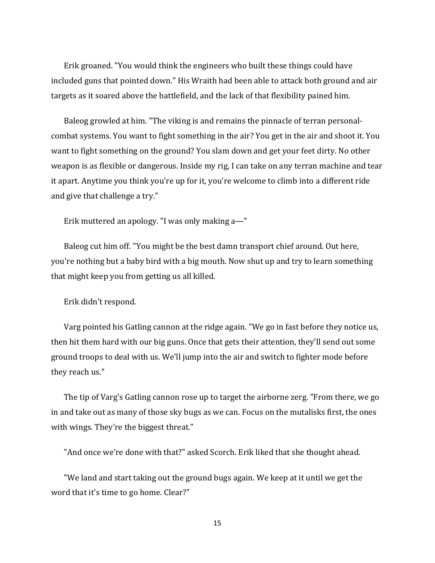Erik groaned. "You would think the engineers who built these things could have included guns that pointed down." His Wraith had been able to attack both ground and air targets as it soared above the battlefield, and the lack of that flexibility pained him.

Baleog growled at him. "The viking is and remains the pinnacle of terran personalcombat systems. You want to fight something in the air? You get in the air and shoot it. You want to fight something on the ground? You slam down and get your feet dirty. No other weapon is as flexible or dangerous. Inside my rig, I can take on any terran machine and tear it apart. Anytime you think you're up for it, you're welcome to climb into a different ride and give that challenge a try."

Erik muttered an apology. "I was only making a—"

Baleog cut him off. "You might be the best damn transport chief around. Out here, you're nothing but a baby bird with a big mouth. Now shut up and try to learn something that might keep you from getting us all killed.

Erik didn't respond.

Varg pointed his Gatling cannon at the ridge again. "We go in fast before they notice us, then hit them hard with our big guns. Once that gets their attention, they'll send out some ground troops to deal with us. We'll jump into the air and switch to fighter mode before they reach us."

The tip of Varg's Gatling cannon rose up to target the airborne zerg. "From there, we go in and take out as many of those sky bugs as we can. Focus on the mutalisks first, the ones with wings. They're the biggest threat."

"And once we're done with that?" asked Scorch. Erik liked that she thought ahead.

"We land and start taking out the ground bugs again. We keep at it until we get the word that it's time to go home. Clear?"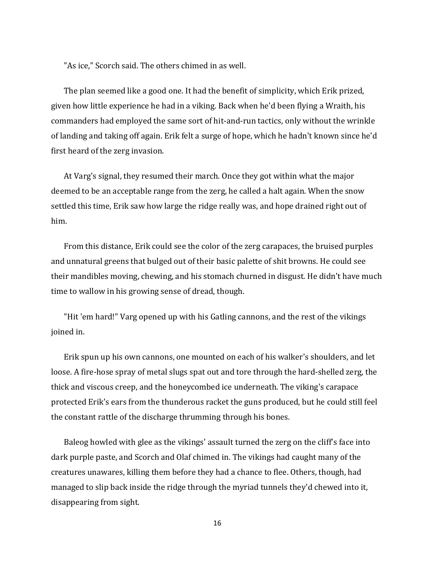"As ice," Scorch said. The others chimed in as well.

The plan seemed like a good one. It had the benefit of simplicity, which Erik prized, given how little experience he had in a viking. Back when he'd been flying a Wraith, his commanders had employed the same sort of hit-and-run tactics, only without the wrinkle of landing and taking off again. Erik felt a surge of hope, which he hadn't known since he'd first heard of the zerg invasion.

At Varg's signal, they resumed their march. Once they got within what the major deemed to be an acceptable range from the zerg, he called a halt again. When the snow settled this time, Erik saw how large the ridge really was, and hope drained right out of him.

From this distance, Erik could see the color of the zerg carapaces, the bruised purples and unnatural greens that bulged out of their basic palette of shit browns. He could see their mandibles moving, chewing, and his stomach churned in disgust. He didn't have much time to wallow in his growing sense of dread, though.

"Hit 'em hard!" Varg opened up with his Gatling cannons, and the rest of the vikings joined in.

Erik spun up his own cannons, one mounted on each of his walker's shoulders, and let loose. A fire-hose spray of metal slugs spat out and tore through the hard-shelled zerg, the thick and viscous creep, and the honeycombed ice underneath. The viking's carapace protected Erik's ears from the thunderous racket the guns produced, but he could still feel the constant rattle of the discharge thrumming through his bones.

Baleog howled with glee as the vikings' assault turned the zerg on the cliff's face into dark purple paste, and Scorch and Olaf chimed in. The vikings had caught many of the creatures unawares, killing them before they had a chance to flee. Others, though, had managed to slip back inside the ridge through the myriad tunnels they'd chewed into it, disappearing from sight.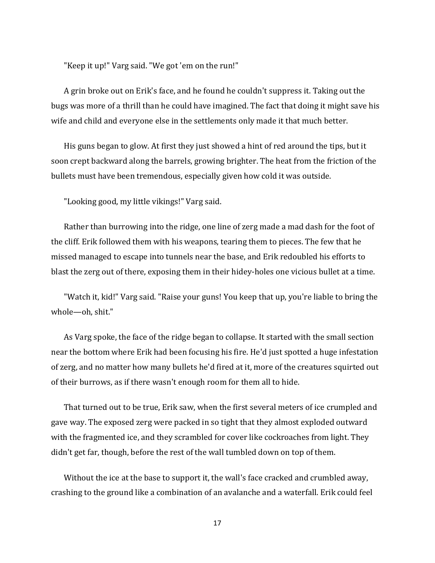"Keep it up!" Varg said. "We got 'em on the run!"

A grin broke out on Erik's face, and he found he couldn't suppress it. Taking out the bugs was more of a thrill than he could have imagined. The fact that doing it might save his wife and child and everyone else in the settlements only made it that much better.

His guns began to glow. At first they just showed a hint of red around the tips, but it soon crept backward along the barrels, growing brighter. The heat from the friction of the bullets must have been tremendous, especially given how cold it was outside.

"Looking good, my little vikings!" Varg said.

Rather than burrowing into the ridge, one line of zerg made a mad dash for the foot of the cliff. Erik followed them with his weapons, tearing them to pieces. The few that he missed managed to escape into tunnels near the base, and Erik redoubled his efforts to blast the zerg out of there, exposing them in their hidey-holes one vicious bullet at a time.

"Watch it, kid!" Varg said. "Raise your guns! You keep that up, you're liable to bring the whole—oh, shit."

As Varg spoke, the face of the ridge began to collapse. It started with the small section near the bottom where Erik had been focusing his fire. He'd just spotted a huge infestation of zerg, and no matter how many bullets he'd fired at it, more of the creatures squirted out of their burrows, as if there wasn't enough room for them all to hide.

That turned out to be true, Erik saw, when the first several meters of ice crumpled and gave way. The exposed zerg were packed in so tight that they almost exploded outward with the fragmented ice, and they scrambled for cover like cockroaches from light. They didn't get far, though, before the rest of the wall tumbled down on top of them.

Without the ice at the base to support it, the wall's face cracked and crumbled away, crashing to the ground like a combination of an avalanche and a waterfall. Erik could feel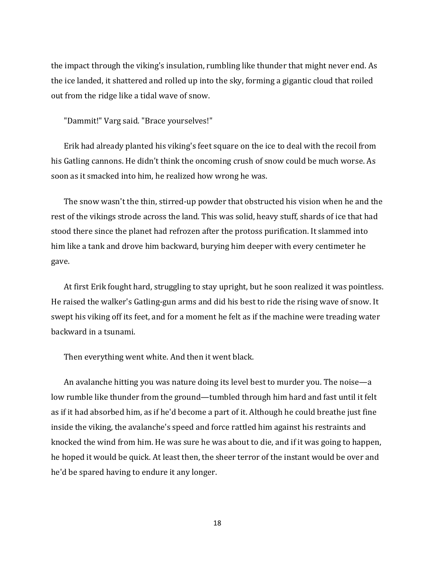the impact through the viking's insulation, rumbling like thunder that might never end. As the ice landed, it shattered and rolled up into the sky, forming a gigantic cloud that roiled out from the ridge like a tidal wave of snow.

"Dammit!" Varg said. "Brace yourselves!"

Erik had already planted his viking's feet square on the ice to deal with the recoil from his Gatling cannons. He didn't think the oncoming crush of snow could be much worse. As soon as it smacked into him, he realized how wrong he was.

The snow wasn't the thin, stirred-up powder that obstructed his vision when he and the rest of the vikings strode across the land. This was solid, heavy stuff, shards of ice that had stood there since the planet had refrozen after the protoss purification. It slammed into him like a tank and drove him backward, burying him deeper with every centimeter he gave.

At first Erik fought hard, struggling to stay upright, but he soon realized it was pointless. He raised the walker's Gatling-gun arms and did his best to ride the rising wave of snow. It swept his viking off its feet, and for a moment he felt as if the machine were treading water backward in a tsunami.

Then everything went white. And then it went black.

An avalanche hitting you was nature doing its level best to murder you. The noise—a low rumble like thunder from the ground—tumbled through him hard and fast until it felt as if it had absorbed him, as if he'd become a part of it. Although he could breathe just fine inside the viking, the avalanche's speed and force rattled him against his restraints and knocked the wind from him. He was sure he was about to die, and if it was going to happen, he hoped it would be quick. At least then, the sheer terror of the instant would be over and he'd be spared having to endure it any longer.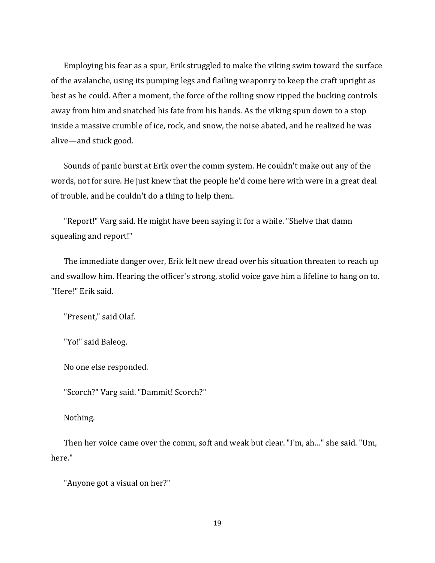Employing his fear as a spur, Erik struggled to make the viking swim toward the surface of the avalanche, using its pumping legs and flailing weaponry to keep the craft upright as best as he could. After a moment, the force of the rolling snow ripped the bucking controls away from him and snatched his fate from his hands. As the viking spun down to a stop inside a massive crumble of ice, rock, and snow, the noise abated, and he realized he was alive—and stuck good.

Sounds of panic burst at Erik over the comm system. He couldn't make out any of the words, not for sure. He just knew that the people he'd come here with were in a great deal of trouble, and he couldn't do a thing to help them.

"Report!" Varg said. He might have been saying it for a while. "Shelve that damn squealing and report!"

The immediate danger over, Erik felt new dread over his situation threaten to reach up and swallow him. Hearing the officer's strong, stolid voice gave him a lifeline to hang on to. "Here!" Erik said.

"Present," said Olaf.

"Yo!" said Baleog.

No one else responded.

"Scorch?" Varg said. "Dammit! Scorch?"

Nothing.

Then her voice came over the comm, soft and weak but clear. "I'm, ah…" she said. "Um, here."

"Anyone got a visual on her?"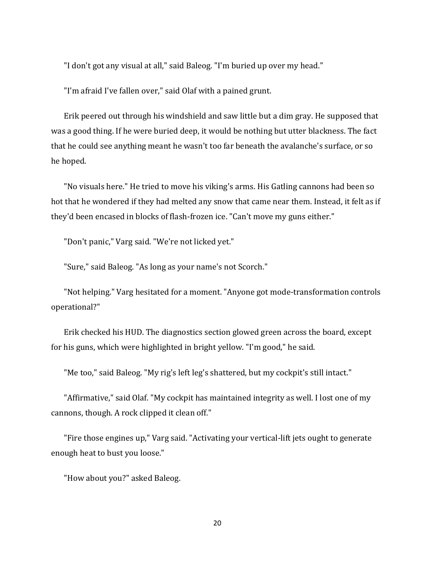"I don't got any visual at all," said Baleog. "I'm buried up over my head."

"I'm afraid I've fallen over," said Olaf with a pained grunt.

Erik peered out through his windshield and saw little but a dim gray. He supposed that was a good thing. If he were buried deep, it would be nothing but utter blackness. The fact that he could see anything meant he wasn't too far beneath the avalanche's surface, or so he hoped.

"No visuals here." He tried to move his viking's arms. His Gatling cannons had been so hot that he wondered if they had melted any snow that came near them. Instead, it felt as if they'd been encased in blocks of flash-frozen ice. "Can't move my guns either."

"Don't panic," Varg said. "We're not licked yet."

"Sure," said Baleog. "As long as your name's not Scorch."

"Not helping." Varg hesitated for a moment. "Anyone got mode-transformation controls operational?"

Erik checked his HUD. The diagnostics section glowed green across the board, except for his guns, which were highlighted in bright yellow. "I'm good," he said.

"Me too," said Baleog. "My rig's left leg's shattered, but my cockpit's still intact."

"Affirmative," said Olaf. "My cockpit has maintained integrity as well. I lost one of my cannons, though. A rock clipped it clean off."

"Fire those engines up," Varg said. "Activating your vertical-lift jets ought to generate enough heat to bust you loose."

"How about you?" asked Baleog.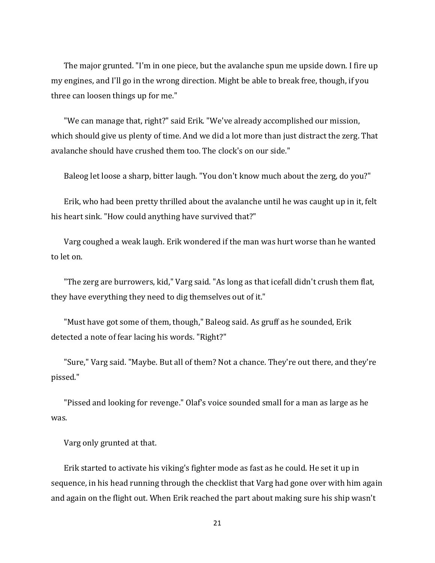The major grunted. "I'm in one piece, but the avalanche spun me upside down. I fire up my engines, and I'll go in the wrong direction. Might be able to break free, though, if you three can loosen things up for me."

"We can manage that, right?" said Erik. "We've already accomplished our mission, which should give us plenty of time. And we did a lot more than just distract the zerg. That avalanche should have crushed them too. The clock's on our side."

Baleog let loose a sharp, bitter laugh. "You don't know much about the zerg, do you?"

Erik, who had been pretty thrilled about the avalanche until he was caught up in it, felt his heart sink. "How could anything have survived that?"

Varg coughed a weak laugh. Erik wondered if the man was hurt worse than he wanted to let on.

"The zerg are burrowers, kid," Varg said. "As long as that icefall didn't crush them flat, they have everything they need to dig themselves out of it."

"Must have got some of them, though," Baleog said. As gruff as he sounded, Erik detected a note of fear lacing his words. "Right?"

"Sure," Varg said. "Maybe. But all of them? Not a chance. They're out there, and they're pissed."

"Pissed and looking for revenge." Olaf's voice sounded small for a man as large as he was.

Varg only grunted at that.

Erik started to activate his viking's fighter mode as fast as he could. He set it up in sequence, in his head running through the checklist that Varg had gone over with him again and again on the flight out. When Erik reached the part about making sure his ship wasn't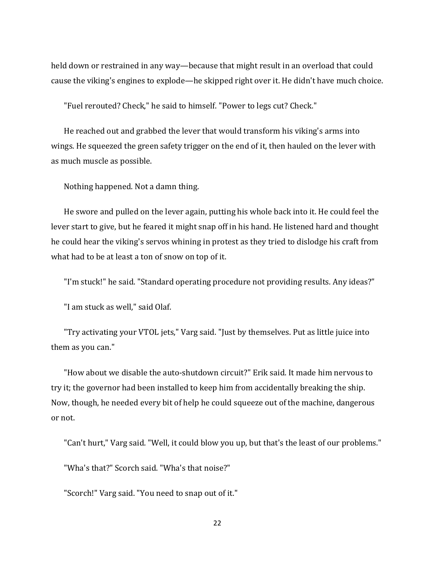held down or restrained in any way—because that might result in an overload that could cause the viking's engines to explode—he skipped right over it. He didn't have much choice.

"Fuel rerouted? Check," he said to himself. "Power to legs cut? Check."

He reached out and grabbed the lever that would transform his viking's arms into wings. He squeezed the green safety trigger on the end of it, then hauled on the lever with as much muscle as possible.

Nothing happened. Not a damn thing.

He swore and pulled on the lever again, putting his whole back into it. He could feel the lever start to give, but he feared it might snap off in his hand. He listened hard and thought he could hear the viking's servos whining in protest as they tried to dislodge his craft from what had to be at least a ton of snow on top of it.

"I'm stuck!" he said. "Standard operating procedure not providing results. Any ideas?"

"I am stuck as well," said Olaf.

"Try activating your VTOL jets," Varg said. "Just by themselves. Put as little juice into them as you can."

"How about we disable the auto-shutdown circuit?" Erik said. It made him nervous to try it; the governor had been installed to keep him from accidentally breaking the ship. Now, though, he needed every bit of help he could squeeze out of the machine, dangerous or not.

"Can't hurt," Varg said. "Well, it could blow you up, but that's the least of our problems."

"Wha's that?" Scorch said. "Wha's that noise?"

"Scorch!" Varg said. "You need to snap out of it."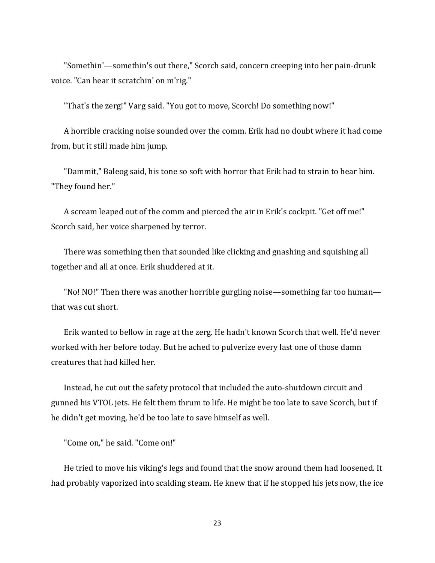"Somethin'—somethin's out there," Scorch said, concern creeping into her pain-drunk voice. "Can hear it scratchin' on m'rig."

"That's the zerg!" Varg said. "You got to move, Scorch! Do something now!"

A horrible cracking noise sounded over the comm. Erik had no doubt where it had come from, but it still made him jump.

"Dammit," Baleog said, his tone so soft with horror that Erik had to strain to hear him. "They found her."

A scream leaped out of the comm and pierced the air in Erik's cockpit. "Get off me!" Scorch said, her voice sharpened by terror.

There was something then that sounded like clicking and gnashing and squishing all together and all at once. Erik shuddered at it.

"No! NO!" Then there was another horrible gurgling noise—something far too human that was cut short.

Erik wanted to bellow in rage at the zerg. He hadn't known Scorch that well. He'd never worked with her before today. But he ached to pulverize every last one of those damn creatures that had killed her.

Instead, he cut out the safety protocol that included the auto-shutdown circuit and gunned his VTOL jets. He felt them thrum to life. He might be too late to save Scorch, but if he didn't get moving, he'd be too late to save himself as well.

"Come on," he said. "Come on!"

He tried to move his viking's legs and found that the snow around them had loosened. It had probably vaporized into scalding steam. He knew that if he stopped his jets now, the ice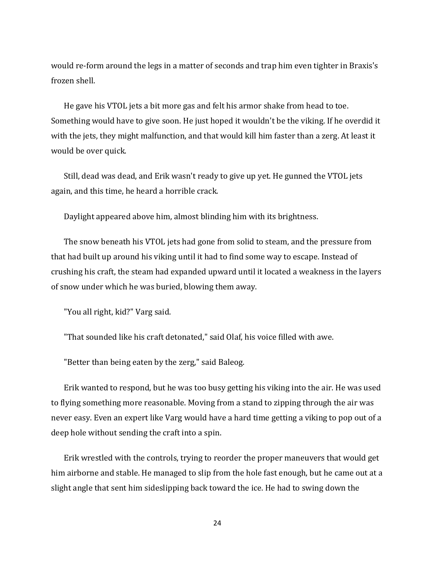would re-form around the legs in a matter of seconds and trap him even tighter in Braxis's frozen shell.

He gave his VTOL jets a bit more gas and felt his armor shake from head to toe. Something would have to give soon. He just hoped it wouldn't be the viking. If he overdid it with the jets, they might malfunction, and that would kill him faster than a zerg. At least it would be over quick.

Still, dead was dead, and Erik wasn't ready to give up yet. He gunned the VTOL jets again, and this time, he heard a horrible crack.

Daylight appeared above him, almost blinding him with its brightness.

The snow beneath his VTOL jets had gone from solid to steam, and the pressure from that had built up around his viking until it had to find some way to escape. Instead of crushing his craft, the steam had expanded upward until it located a weakness in the layers of snow under which he was buried, blowing them away.

"You all right, kid?" Varg said.

"That sounded like his craft detonated," said Olaf, his voice filled with awe.

"Better than being eaten by the zerg," said Baleog.

Erik wanted to respond, but he was too busy getting his viking into the air. He was used to flying something more reasonable. Moving from a stand to zipping through the air was never easy. Even an expert like Varg would have a hard time getting a viking to pop out of a deep hole without sending the craft into a spin.

Erik wrestled with the controls, trying to reorder the proper maneuvers that would get him airborne and stable. He managed to slip from the hole fast enough, but he came out at a slight angle that sent him sideslipping back toward the ice. He had to swing down the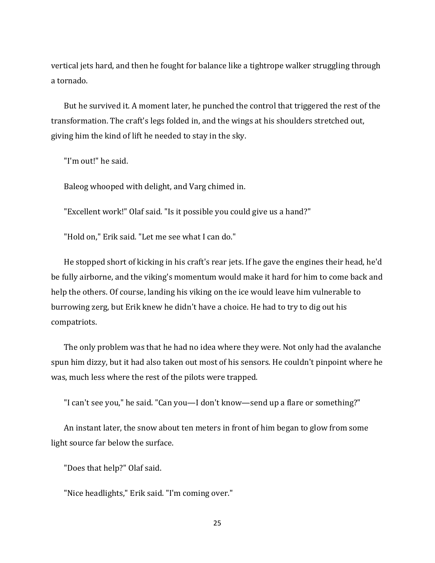vertical jets hard, and then he fought for balance like a tightrope walker struggling through a tornado.

But he survived it. A moment later, he punched the control that triggered the rest of the transformation. The craft's legs folded in, and the wings at his shoulders stretched out, giving him the kind of lift he needed to stay in the sky.

"I'm out!" he said.

Baleog whooped with delight, and Varg chimed in.

"Excellent work!" Olaf said. "Is it possible you could give us a hand?"

"Hold on," Erik said. "Let me see what I can do."

He stopped short of kicking in his craft's rear jets. If he gave the engines their head, he'd be fully airborne, and the viking's momentum would make it hard for him to come back and help the others. Of course, landing his viking on the ice would leave him vulnerable to burrowing zerg, but Erik knew he didn't have a choice. He had to try to dig out his compatriots.

The only problem was that he had no idea where they were. Not only had the avalanche spun him dizzy, but it had also taken out most of his sensors. He couldn't pinpoint where he was, much less where the rest of the pilots were trapped.

"I can't see you," he said. "Can you—I don't know—send up a flare or something?"

An instant later, the snow about ten meters in front of him began to glow from some light source far below the surface.

"Does that help?" Olaf said.

"Nice headlights," Erik said. "I'm coming over."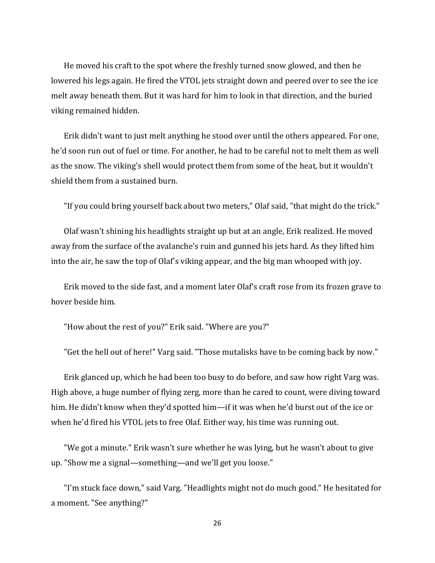He moved his craft to the spot where the freshly turned snow glowed, and then he lowered his legs again. He fired the VTOL jets straight down and peered over to see the ice melt away beneath them. But it was hard for him to look in that direction, and the buried viking remained hidden.

Erik didn't want to just melt anything he stood over until the others appeared. For one, he'd soon run out of fuel or time. For another, he had to be careful not to melt them as well as the snow. The viking's shell would protect them from some of the heat, but it wouldn't shield them from a sustained burn.

"If you could bring yourself back about two meters," Olaf said, "that might do the trick."

Olaf wasn't shining his headlights straight up but at an angle, Erik realized. He moved away from the surface of the avalanche's ruin and gunned his jets hard. As they lifted him into the air, he saw the top of Olaf's viking appear, and the big man whooped with joy.

Erik moved to the side fast, and a moment later Olaf's craft rose from its frozen grave to hover beside him.

"How about the rest of you?" Erik said. "Where are you?"

"Get the hell out of here!" Varg said. "Those mutalisks have to be coming back by now."

Erik glanced up, which he had been too busy to do before, and saw how right Varg was. High above, a huge number of flying zerg, more than he cared to count, were diving toward him. He didn't know when they'd spotted him—if it was when he'd burst out of the ice or when he'd fired his VTOL jets to free Olaf. Either way, his time was running out.

"We got a minute." Erik wasn't sure whether he was lying, but he wasn't about to give up. "Show me a signal—something—and we'll get you loose."

"I'm stuck face down," said Varg. "Headlights might not do much good." He hesitated for a moment. "See anything?"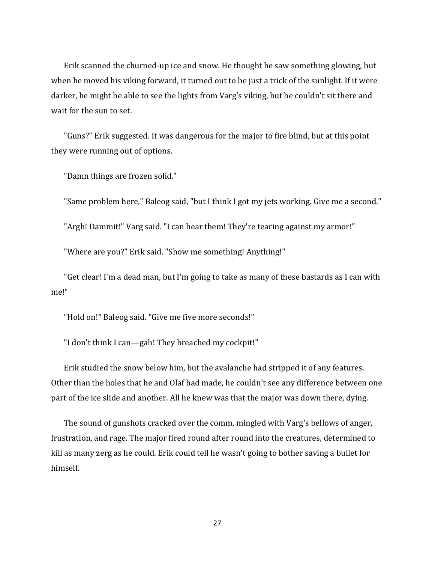Erik scanned the churned-up ice and snow. He thought he saw something glowing, but when he moved his viking forward, it turned out to be just a trick of the sunlight. If it were darker, he might be able to see the lights from Varg's viking, but he couldn't sit there and wait for the sun to set.

"Guns?" Erik suggested. It was dangerous for the major to fire blind, but at this point they were running out of options.

"Damn things are frozen solid."

"Same problem here," Baleog said, "but I think I got my jets working. Give me a second."

"Argh! Dammit!" Varg said. "I can hear them! They're tearing against my armor!"

"Where are you?" Erik said. "Show me something! Anything!"

"Get clear! I'm a dead man, but I'm going to take as many of these bastards as I can with me!"

"Hold on!" Baleog said. "Give me five more seconds!"

"I don't think I can—gah! They breached my cockpit!"

Erik studied the snow below him, but the avalanche had stripped it of any features. Other than the holes that he and Olaf had made, he couldn't see any difference between one part of the ice slide and another. All he knew was that the major was down there, dying.

The sound of gunshots cracked over the comm, mingled with Varg's bellows of anger, frustration, and rage. The major fired round after round into the creatures, determined to kill as many zerg as he could. Erik could tell he wasn't going to bother saving a bullet for himself.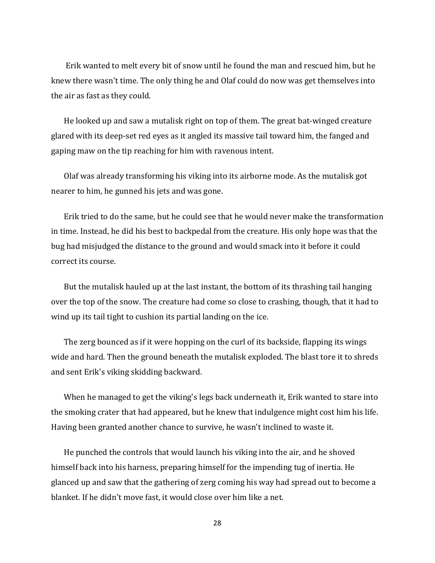Erik wanted to melt every bit of snow until he found the man and rescued him, but he knew there wasn't time. The only thing he and Olaf could do now was get themselves into the air as fast as they could.

He looked up and saw a mutalisk right on top of them. The great bat-winged creature glared with its deep-set red eyes as it angled its massive tail toward him, the fanged and gaping maw on the tip reaching for him with ravenous intent.

Olaf was already transforming his viking into its airborne mode. As the mutalisk got nearer to him, he gunned his jets and was gone.

Erik tried to do the same, but he could see that he would never make the transformation in time. Instead, he did his best to backpedal from the creature. His only hope was that the bug had misjudged the distance to the ground and would smack into it before it could correct its course.

But the mutalisk hauled up at the last instant, the bottom of its thrashing tail hanging over the top of the snow. The creature had come so close to crashing, though, that it had to wind up its tail tight to cushion its partial landing on the ice.

The zerg bounced as if it were hopping on the curl of its backside, flapping its wings wide and hard. Then the ground beneath the mutalisk exploded. The blast tore it to shreds and sent Erik's viking skidding backward.

When he managed to get the viking's legs back underneath it, Erik wanted to stare into the smoking crater that had appeared, but he knew that indulgence might cost him his life. Having been granted another chance to survive, he wasn't inclined to waste it.

He punched the controls that would launch his viking into the air, and he shoved himself back into his harness, preparing himself for the impending tug of inertia. He glanced up and saw that the gathering of zerg coming his way had spread out to become a blanket. If he didn't move fast, it would close over him like a net.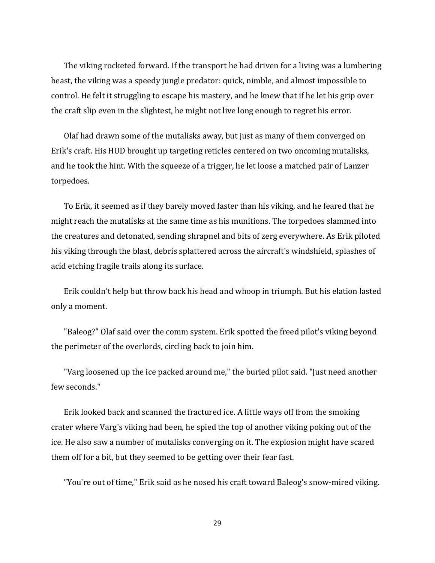The viking rocketed forward. If the transport he had driven for a living was a lumbering beast, the viking was a speedy jungle predator: quick, nimble, and almost impossible to control. He felt it struggling to escape his mastery, and he knew that if he let his grip over the craft slip even in the slightest, he might not live long enough to regret his error.

Olaf had drawn some of the mutalisks away, but just as many of them converged on Erik's craft. His HUD brought up targeting reticles centered on two oncoming mutalisks, and he took the hint. With the squeeze of a trigger, he let loose a matched pair of Lanzer torpedoes.

To Erik, it seemed as if they barely moved faster than his viking, and he feared that he might reach the mutalisks at the same time as his munitions. The torpedoes slammed into the creatures and detonated, sending shrapnel and bits of zerg everywhere. As Erik piloted his viking through the blast, debris splattered across the aircraft's windshield, splashes of acid etching fragile trails along its surface.

Erik couldn't help but throw back his head and whoop in triumph. But his elation lasted only a moment.

"Baleog?" Olaf said over the comm system. Erik spotted the freed pilot's viking beyond the perimeter of the overlords, circling back to join him.

"Varg loosened up the ice packed around me," the buried pilot said. "Just need another few seconds."

Erik looked back and scanned the fractured ice. A little ways off from the smoking crater where Varg's viking had been, he spied the top of another viking poking out of the ice. He also saw a number of mutalisks converging on it. The explosion might have scared them off for a bit, but they seemed to be getting over their fear fast.

"You're out of time," Erik said as he nosed his craft toward Baleog's snow-mired viking.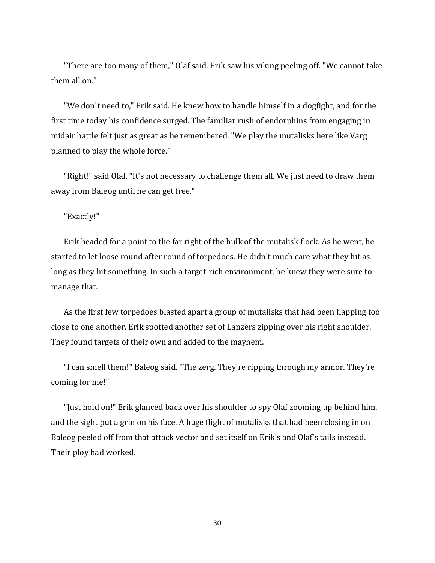"There are too many of them," Olaf said. Erik saw his viking peeling off. "We cannot take them all on."

"We don't need to," Erik said. He knew how to handle himself in a dogfight, and for the first time today his confidence surged. The familiar rush of endorphins from engaging in midair battle felt just as great as he remembered. "We play the mutalisks here like Varg planned to play the whole force."

"Right!" said Olaf. "It's not necessary to challenge them all. We just need to draw them away from Baleog until he can get free."

"Exactly!"

Erik headed for a point to the far right of the bulk of the mutalisk flock. As he went, he started to let loose round after round of torpedoes. He didn't much care what they hit as long as they hit something. In such a target-rich environment, he knew they were sure to manage that.

As the first few torpedoes blasted apart a group of mutalisks that had been flapping too close to one another, Erik spotted another set of Lanzers zipping over his right shoulder. They found targets of their own and added to the mayhem.

"I can smell them!" Baleog said. "The zerg. They're ripping through my armor. They're coming for me!"

"Just hold on!" Erik glanced back over his shoulder to spy Olaf zooming up behind him, and the sight put a grin on his face. A huge flight of mutalisks that had been closing in on Baleog peeled off from that attack vector and set itself on Erik's and Olaf's tails instead. Their ploy had worked.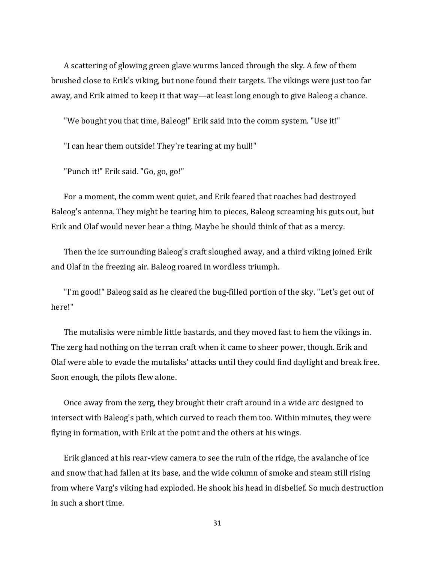A scattering of glowing green glave wurms lanced through the sky. A few of them brushed close to Erik's viking, but none found their targets. The vikings were just too far away, and Erik aimed to keep it that way—at least long enough to give Baleog a chance.

"We bought you that time, Baleog!" Erik said into the comm system. "Use it!"

"I can hear them outside! They're tearing at my hull!"

"Punch it!" Erik said. "Go, go, go!"

For a moment, the comm went quiet, and Erik feared that roaches had destroyed Baleog's antenna. They might be tearing him to pieces, Baleog screaming his guts out, but Erik and Olaf would never hear a thing. Maybe he should think of that as a mercy.

Then the ice surrounding Baleog's craft sloughed away, and a third viking joined Erik and Olaf in the freezing air. Baleog roared in wordless triumph.

"I'm good!" Baleog said as he cleared the bug-filled portion of the sky. "Let's get out of here!"

The mutalisks were nimble little bastards, and they moved fast to hem the vikings in. The zerg had nothing on the terran craft when it came to sheer power, though. Erik and Olaf were able to evade the mutalisks' attacks until they could find daylight and break free. Soon enough, the pilots flew alone.

Once away from the zerg, they brought their craft around in a wide arc designed to intersect with Baleog's path, which curved to reach them too. Within minutes, they were flying in formation, with Erik at the point and the others at his wings.

Erik glanced at his rear-view camera to see the ruin of the ridge, the avalanche of ice and snow that had fallen at its base, and the wide column of smoke and steam still rising from where Varg's viking had exploded. He shook his head in disbelief. So much destruction in such a short time.